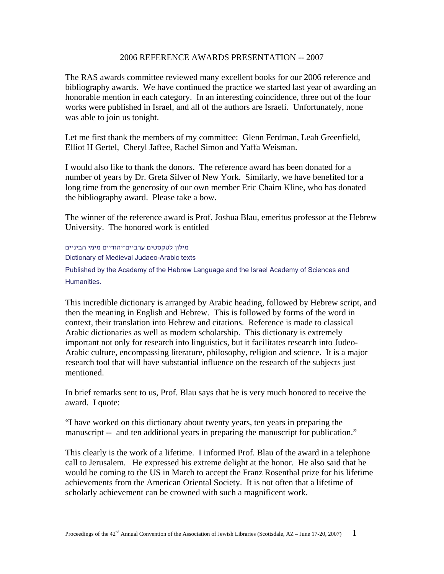## 2006 REFERENCE AWARDS PRESENTATION -- 2007

The RAS awards committee reviewed many excellent books for our 2006 reference and bibliography awards. We have continued the practice we started last year of awarding an honorable mention in each category. In an interesting coincidence, three out of the four works were published in Israel, and all of the authors are Israeli. Unfortunately, none was able to join us tonight.

Let me first thank the members of my committee: Glenn Ferdman, Leah Greenfield, Elliot H Gertel, Cheryl Jaffee, Rachel Simon and Yaffa Weisman.

I would also like to thank the donors. The reference award has been donated for a number of years by Dr. Greta Silver of New York. Similarly, we have benefited for a long time from the generosity of our own member Eric Chaim Kline, who has donated the bibliography award. Please take a bow.

The winner of the reference award is Prof. Joshua Blau, emeritus professor at the Hebrew University. The honored work is entitled

 מילון לטקסטים ערביים־יהודיים מימי הביניים Dictionary of Medieval Judaeo-Arabic texts Published by the Academy of the Hebrew Language and the Israel Academy of Sciences and Humanities.

This incredible dictionary is arranged by Arabic heading, followed by Hebrew script, and then the meaning in English and Hebrew. This is followed by forms of the word in context, their translation into Hebrew and citations. Reference is made to classical Arabic dictionaries as well as modern scholarship. This dictionary is extremely important not only for research into linguistics, but it facilitates research into Judeo-Arabic culture, encompassing literature, philosophy, religion and science. It is a major research tool that will have substantial influence on the research of the subjects just mentioned.

In brief remarks sent to us, Prof. Blau says that he is very much honored to receive the award. I quote:

"I have worked on this dictionary about twenty years, ten years in preparing the manuscript -- and ten additional years in preparing the manuscript for publication."

This clearly is the work of a lifetime. I informed Prof. Blau of the award in a telephone call to Jerusalem. He expressed his extreme delight at the honor. He also said that he would be coming to the US in March to accept the Franz Rosenthal prize for his lifetime achievements from the American Oriental Society. It is not often that a lifetime of scholarly achievement can be crowned with such a magnificent work.